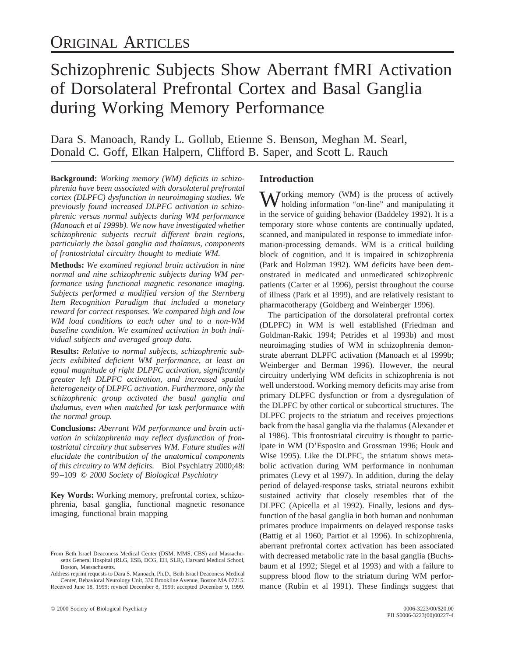# Schizophrenic Subjects Show Aberrant fMRI Activation of Dorsolateral Prefrontal Cortex and Basal Ganglia during Working Memory Performance

Dara S. Manoach, Randy L. Gollub, Etienne S. Benson, Meghan M. Searl, Donald C. Goff, Elkan Halpern, Clifford B. Saper, and Scott L. Rauch

**Background:** *Working memory (WM) deficits in schizophrenia have been associated with dorsolateral prefrontal cortex (DLPFC) dysfunction in neuroimaging studies. We previously found increased DLPFC activation in schizophrenic versus normal subjects during WM performance (Manoach et al 1999b). We now have investigated whether schizophrenic subjects recruit different brain regions, particularly the basal ganglia and thalamus, components of frontostriatal circuitry thought to mediate WM.*

**Methods:** *We examined regional brain activation in nine normal and nine schizophrenic subjects during WM performance using functional magnetic resonance imaging. Subjects performed a modified version of the Sternberg Item Recognition Paradigm that included a monetary reward for correct responses. We compared high and low WM load conditions to each other and to a non-WM baseline condition. We examined activation in both individual subjects and averaged group data.*

**Results:** *Relative to normal subjects, schizophrenic subjects exhibited deficient WM performance, at least an equal magnitude of right DLPFC activation, significantly greater left DLPFC activation, and increased spatial heterogeneity of DLPFC activation. Furthermore, only the schizophrenic group activated the basal ganglia and thalamus, even when matched for task performance with the normal group.*

**Conclusions:** *Aberrant WM performance and brain activation in schizophrenia may reflect dysfunction of frontostriatal circuitry that subserves WM. Future studies will elucidate the contribution of the anatomical components of this circuitry to WM deficits.* Biol Psychiatry 2000;48: 99–109 © *2000 Society of Biological Psychiatry*

**Key Words:** Working memory, prefrontal cortex, schizophrenia, basal ganglia, functional magnetic resonance imaging, functional brain mapping

# **Introduction**

**X** Jorking memory (WM) is the process of actively holding information "on-line" and manipulating it in the service of guiding behavior (Baddeley 1992). It is a temporary store whose contents are continually updated, scanned, and manipulated in response to immediate information-processing demands. WM is a critical building block of cognition, and it is impaired in schizophrenia (Park and Holzman 1992). WM deficits have been demonstrated in medicated and unmedicated schizophrenic patients (Carter et al 1996), persist throughout the course of illness (Park et al 1999), and are relatively resistant to pharmacotherapy (Goldberg and Weinberger 1996).

The participation of the dorsolateral prefrontal cortex (DLPFC) in WM is well established (Friedman and Goldman-Rakic 1994; Petrides et al 1993b) and most neuroimaging studies of WM in schizophrenia demonstrate aberrant DLPFC activation (Manoach et al 1999b; Weinberger and Berman 1996). However, the neural circuitry underlying WM deficits in schizophrenia is not well understood. Working memory deficits may arise from primary DLPFC dysfunction or from a dysregulation of the DLPFC by other cortical or subcortical structures. The DLPFC projects to the striatum and receives projections back from the basal ganglia via the thalamus (Alexander et al 1986). This frontostriatal circuitry is thought to participate in WM (D'Esposito and Grossman 1996; Houk and Wise 1995). Like the DLPFC, the striatum shows metabolic activation during WM performance in nonhuman primates (Levy et al 1997). In addition, during the delay period of delayed-response tasks, striatal neurons exhibit sustained activity that closely resembles that of the DLPFC (Apicella et al 1992). Finally, lesions and dysfunction of the basal ganglia in both human and nonhuman primates produce impairments on delayed response tasks (Battig et al 1960; Partiot et al 1996). In schizophrenia, aberrant prefrontal cortex activation has been associated with decreased metabolic rate in the basal ganglia (Buchsbaum et al 1992; Siegel et al 1993) and with a failure to suppress blood flow to the striatum during WM performance (Rubin et al 1991). These findings suggest that

From Beth Israel Deaconess Medical Center (DSM, MMS, CBS) and Massachusetts General Hospital (RLG, ESB, DCG, EH, SLR), Harvard Medical School, Boston, Massachusetts.

Address reprint requests to Dara S. Manoach, Ph.D., Beth Israel Deaconess Medical Center, Behavioral Neurology Unit, 330 Brookline Avenue, Boston MA 02215. Received June 18, 1999; revised December 8, 1999; accepted December 9, 1999.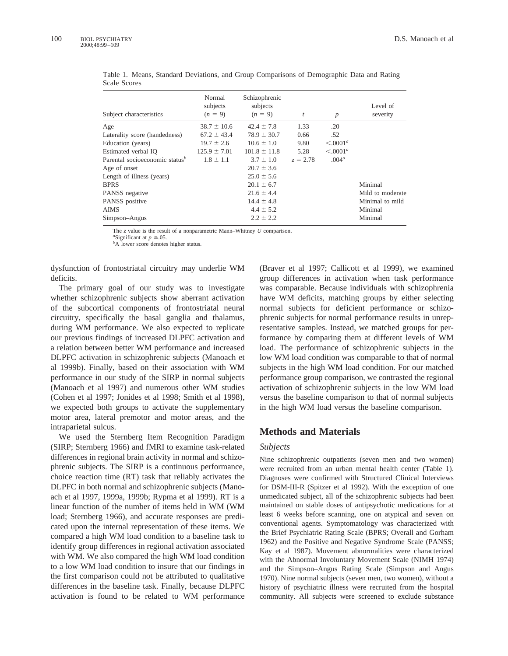| Subject characteristics                    | Normal<br>subjects<br>$(n = 9)$ | Schizophrenic<br>subjects<br>$(n = 9)$ | $\boldsymbol{t}$ | $\boldsymbol{p}$  | Level of<br>severity |  |
|--------------------------------------------|---------------------------------|----------------------------------------|------------------|-------------------|----------------------|--|
| Age                                        | $38.7 \pm 10.6$                 | $42.4 \pm 7.8$                         | 1.33             | .20               |                      |  |
| Laterality score (handedness)              | $67.2 \pm 43.4$                 | $78.9 \pm 30.7$                        | 0.66             | .52               |                      |  |
| Education (years)                          | $19.7 \pm 2.6$                  | $10.6 \pm 1.0$                         | 9.80             | $\leq 0.001^a$    |                      |  |
| Estimated verbal IQ                        | $125.9 \pm 7.01$                | $101.8 \pm 11.8$                       | 5.28             | $\leq 0.001^a$    |                      |  |
| Parental socioeconomic status <sup>b</sup> | $1.8 \pm 1.1$                   | $3.7 \pm 1.0$                          | $z = 2.78$       | .004 <sup>a</sup> |                      |  |
| Age of onset                               |                                 | $20.7 \pm 3.6$                         |                  |                   |                      |  |
| Length of illness (years)                  |                                 | $25.0 \pm 5.6$                         |                  |                   |                      |  |
| <b>BPRS</b>                                |                                 | $20.1 \pm 6.7$                         |                  |                   | Minimal              |  |
| PANSS negative                             |                                 | $21.6 \pm 4.4$                         |                  |                   | Mild to moderate     |  |
| PANSS positive                             |                                 | $14.4 \pm 4.8$                         |                  |                   | Minimal to mild      |  |
| <b>AIMS</b>                                |                                 | $4.4 \pm 5.2$                          |                  |                   | Minimal              |  |
| Simpson-Angus                              |                                 | $2.2 \pm 2.2$                          |                  |                   | Minimal              |  |

Table 1. Means, Standard Deviations, and Group Comparisons of Demographic Data and Rating Scale Scores

The *z* value is the result of a nonparametric Mann–Whitney *U* comparison.

<sup>*a*</sup>Significant at  $p \le .05$ .

 $\n <sup>b</sup>A$  lower score denotes higher status.

dysfunction of frontostriatal circuitry may underlie WM deficits.

The primary goal of our study was to investigate whether schizophrenic subjects show aberrant activation of the subcortical components of frontostriatal neural circuitry, specifically the basal ganglia and thalamus, during WM performance. We also expected to replicate our previous findings of increased DLPFC activation and a relation between better WM performance and increased DLPFC activation in schizophrenic subjects (Manoach et al 1999b). Finally, based on their association with WM performance in our study of the SIRP in normal subjects (Manoach et al 1997) and numerous other WM studies (Cohen et al 1997; Jonides et al 1998; Smith et al 1998), we expected both groups to activate the supplementary motor area, lateral premotor and motor areas, and the intraparietal sulcus.

We used the Sternberg Item Recognition Paradigm (SIRP; Sternberg 1966) and fMRI to examine task-related differences in regional brain activity in normal and schizophrenic subjects. The SIRP is a continuous performance, choice reaction time (RT) task that reliably activates the DLPFC in both normal and schizophrenic subjects (Manoach et al 1997, 1999a, 1999b; Rypma et al 1999). RT is a linear function of the number of items held in WM (WM load; Sternberg 1966), and accurate responses are predicated upon the internal representation of these items. We compared a high WM load condition to a baseline task to identify group differences in regional activation associated with WM. We also compared the high WM load condition to a low WM load condition to insure that our findings in the first comparison could not be attributed to qualitative differences in the baseline task. Finally, because DLPFC activation is found to be related to WM performance

(Braver et al 1997; Callicott et al 1999), we examined group differences in activation when task performance was comparable. Because individuals with schizophrenia have WM deficits, matching groups by either selecting normal subjects for deficient performance or schizophrenic subjects for normal performance results in unrepresentative samples. Instead, we matched groups for performance by comparing them at different levels of WM load. The performance of schizophrenic subjects in the low WM load condition was comparable to that of normal subjects in the high WM load condition. For our matched performance group comparison, we contrasted the regional activation of schizophrenic subjects in the low WM load versus the baseline comparison to that of normal subjects in the high WM load versus the baseline comparison.

#### **Methods and Materials**

#### *Subjects*

Nine schizophrenic outpatients (seven men and two women) were recruited from an urban mental health center (Table 1). Diagnoses were confirmed with Structured Clinical Interviews for DSM-III-R (Spitzer et al 1992). With the exception of one unmedicated subject, all of the schizophrenic subjects had been maintained on stable doses of antipsychotic medications for at least 6 weeks before scanning, one on atypical and seven on conventional agents. Symptomatology was characterized with the Brief Psychiatric Rating Scale (BPRS; Overall and Gorham 1962) and the Positive and Negative Syndrome Scale (PANSS; Kay et al 1987). Movement abnormalities were characterized with the Abnormal Involuntary Movement Scale (NIMH 1974) and the Simpson–Angus Rating Scale (Simpson and Angus 1970). Nine normal subjects (seven men, two women), without a history of psychiatric illness were recruited from the hospital community. All subjects were screened to exclude substance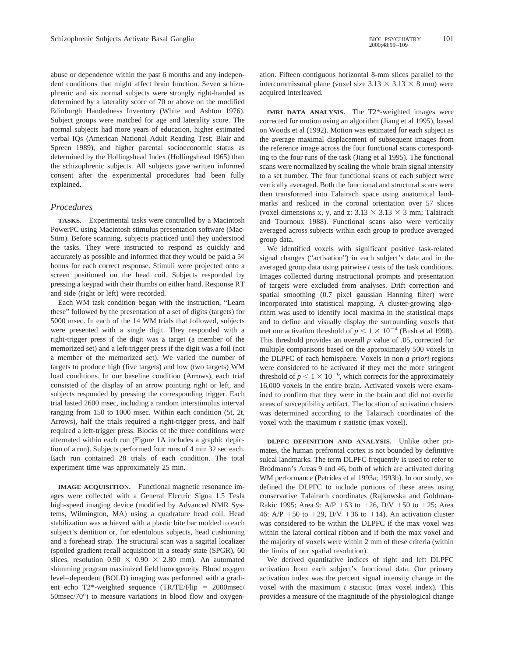acquired interleaved.

abuse or dependence within the past 6 months and any independent conditions that might affect brain function. Seven schizophrenic and six normal subjects were strongly right-handed as determined by a laterality score of 70 or above on the modified Edinburgh Handedness Inventory (White and Ashton 1976). Subject groups were matched for age and laterality score. The normal subjects had more years of education, higher estimated verbal IQs (American National Adult Reading Test; Blair and Spreen 1989), and higher parental socioeconomic status as determined by the Hollingshead Index (Hollingshead 1965) than the schizophrenic subjects. All subjects gave written informed consent after the experimental procedures had been fully explained.

#### *Procedures*

**TASKS.** Experimental tasks were controlled by a Macintosh PowerPC using Macintosh stimulus presentation software (Mac-Stim). Before scanning, subjects practiced until they understood the tasks. They were instructed to respond as quickly and accurately as possible and informed that they would be paid a  $5¢$ bonus for each correct response. Stimuli were projected onto a screen positioned on the head coil. Subjects responded by pressing a keypad with their thumbs on either hand. Response RT and side (right or left) were recorded.

Each WM task condition began with the instruction, "Learn these" followed by the presentation of a set of digits (targets) for 5000 msec. In each of the 14 WM trials that followed, subjects were presented with a single digit. They responded with a right-trigger press if the digit was a target (a member of the memorized set) and a left-trigger press if the digit was a foil (not a member of the memorized set). We varied the number of targets to produce high (five targets) and low (two targets) WM load conditions. In our baseline condition (Arrows), each trial consisted of the display of an arrow pointing right or left, and subjects responded by pressing the corresponding trigger. Each trial lasted 2600 msec, including a random interstimulus interval ranging from 150 to 1000 msec. Within each condition (5t, 2t, Arrows), half the trials required a right-trigger press, and half required a left-trigger press. Blocks of the three conditions were alternated within each run (Figure 1A includes a graphic depiction of a run). Subjects performed four runs of 4 min 32 sec each. Each run contained 28 trials of each condition. The total experiment time was approximately 25 min.

**IMAGE ACQUISITION.** Functional magnetic resonance images were collected with a General Electric Signa 1.5 Tesla high-speed imaging device (modified by Advanced NMR Systems, Wilmington, MA) using a quadrature head coil. Head stabilization was achieved with a plastic bite bar molded to each subject's dentition or, for edentulous subjects, head cushioning and a forehead strap. The structural scan was a sagittal localizer (spoiled gradient recall acquisition in a steady state (SPGR), 60 slices, resolution  $0.90 \times 0.90 \times 2.80$  mm). An automated shimming program maximized field homogeneity. Blood oxygen level–dependent (BOLD) imaging was performed with a gradient echo T2\*-weighted sequence (TR/TE/Flip  $= 2000$ msec/ 50msec/70°) to measure variations in blood flow and oxygen-

**fMRI DATA ANALYSIS.** The T2\*-weighted images were corrected for motion using an algorithm (Jiang et al 1995), based on Woods et al (1992). Motion was estimated for each subject as the average maximal displacement of subsequent images from the reference image across the four functional scans corresponding to the four runs of the task (Jiang et al 1995). The functional scans were normalized by scaling the whole brain signal intensity to a set number. The four functional scans of each subject were vertically averaged. Both the functional and structural scans were then transformed into Talairach space using anatomical landmarks and resliced in the coronal orientation over 57 slices (voxel dimensions x, y, and z:  $3.13 \times 3.13 \times 3$  mm; Talairach and Tournoux 1988). Functional scans also were vertically averaged across subjects within each group to produce averaged group data.

We identified voxels with significant positive task-related signal changes ("activation") in each subject's data and in the averaged group data using pairwise *t* tests of the task conditions. Images collected during instructional prompts and presentation of targets were excluded from analyses. Drift correction and spatial smoothing (0.7 pixel gaussian Hanning filter) were incorporated into statistical mapping. A cluster-growing algorithm was used to identify local maxima in the statistical maps and to define and visually display the surrounding voxels that met our activation threshold of  $p < 1 \times 10^{-4}$  (Bush et al 1998). This threshold provides an overall *p* value of .05, corrected for multiple comparisons based on the approximately 500 voxels in the DLPFC of each hemisphere. Voxels in non *a priori* regions were considered to be activated if they met the more stringent threshold of  $p < 1 \times 10^{-6}$ , which corrects for the approximately 16,000 voxels in the entire brain. Activated voxels were examined to confirm that they were in the brain and did not overlie areas of susceptibility artifact. The location of activation clusters was determined according to the Talairach coordinates of the voxel with the maximum *t* statistic (max voxel).

**DLPFC DEFINITION AND ANALYSIS.** Unlike other primates, the human prefrontal cortex is not bounded by definitive sulcal landmarks. The term DLPFC frequently is used to refer to Brodmann's Areas 9 and 46, both of which are activated during WM performance (Petrides et al 1993a; 1993b). In our study, we defined the DLPFC to include portions of these areas using conservative Talairach coordinates (Rajkowska and Goldman-Rakic 1995; Area 9: A/P +53 to +26, D/V +50 to +25; Area 46: A/P  $+50$  to  $+29$ , D/V  $+36$  to  $+14$ ). An activation cluster was considered to be within the DLPFC if the max voxel was within the lateral cortical ribbon and if both the max voxel and the majority of voxels were within 2 mm of these criteria (within the limits of our spatial resolution).

We derived quantitative indices of right and left DLPFC activation from each subject's functional data. Our primary activation index was the percent signal intensity change in the voxel with the maximum *t* statistic (max voxel index). This provides a measure of the magnitude of the physiological change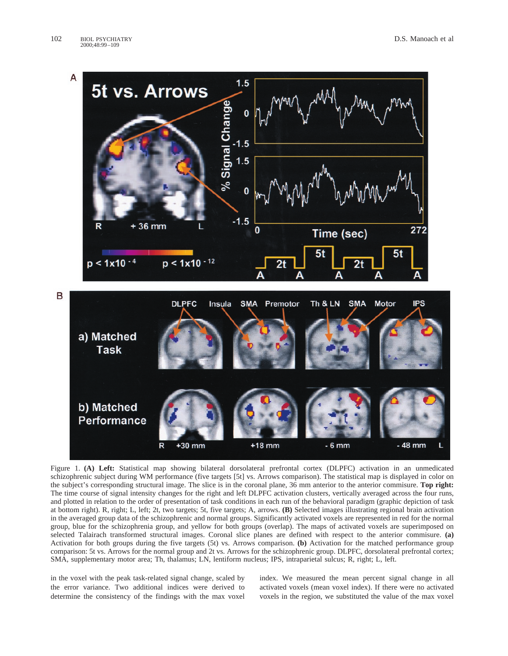

Figure 1. **(A) Left:** Statistical map showing bilateral dorsolateral prefrontal cortex (DLPFC) activation in an unmedicated schizophrenic subject during WM performance (five targets [5t] vs. Arrows comparison). The statistical map is displayed in color on the subject's corresponding structural image. The slice is in the coronal plane, 36 mm anterior to the anterior commisure. **Top right:** The time course of signal intensity changes for the right and left DLPFC activation clusters, vertically averaged across the four runs, and plotted in relation to the order of presentation of task conditions in each run of the behavioral paradigm (graphic depiction of task at bottom right). R, right; L, left; 2t, two targets; 5t, five targets; A, arrows. **(B)** Selected images illustrating regional brain activation in the averaged group data of the schizophrenic and normal groups. Significantly activated voxels are represented in red for the normal group, blue for the schizophrenia group, and yellow for both groups (overlap). The maps of activated voxels are superimposed on selected Talairach transformed structural images. Coronal slice planes are defined with respect to the anterior commisure. **(a)** Activation for both groups during the five targets (5t) vs. Arrows comparison. **(b)** Activation for the matched performance group comparison: 5t vs. Arrows for the normal group and 2t vs. Arrows for the schizophrenic group. DLPFC, dorsolateral prefrontal cortex; SMA, supplementary motor area; Th, thalamus; LN, lentiform nucleus; IPS, intraparietal sulcus; R, right; L, left.

in the voxel with the peak task-related signal change, scaled by the error variance. Two additional indices were derived to determine the consistency of the findings with the max voxel index. We measured the mean percent signal change in all activated voxels (mean voxel index). If there were no activated voxels in the region, we substituted the value of the max voxel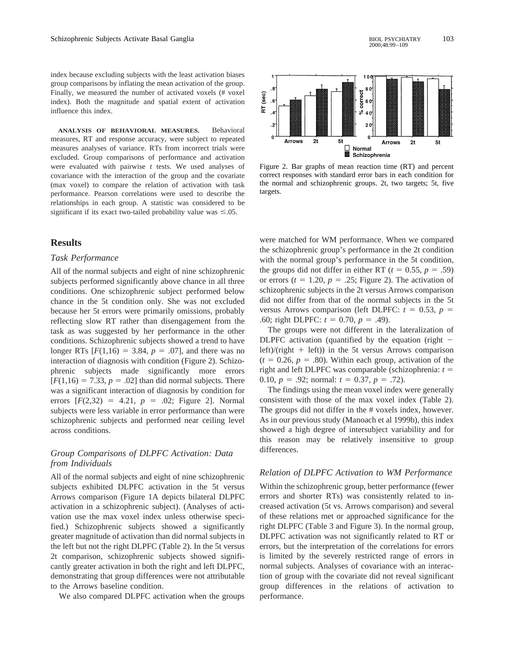index because excluding subjects with the least activation biases group comparisons by inflating the mean activation of the group. Finally, we measured the number of activated voxels (# voxel index). Both the magnitude and spatial extent of activation influence this index.

**ANALYSIS OF BEHAVIORAL MEASURES.** Behavioral measures, RT and response accuracy, were subject to repeated measures analyses of variance. RTs from incorrect trials were excluded. Group comparisons of performance and activation were evaluated with pairwise *t* tests. We used analyses of covariance with the interaction of the group and the covariate (max voxel) to compare the relation of activation with task performance. Pearson correlations were used to describe the relationships in each group. A statistic was considered to be significant if its exact two-tailed probability value was  $\leq 0.05$ .

#### **Results**

#### *Task Performance*

All of the normal subjects and eight of nine schizophrenic subjects performed significantly above chance in all three conditions. One schizophrenic subject performed below chance in the 5t condition only. She was not excluded because her 5t errors were primarily omissions, probably reflecting slow RT rather than disengagement from the task as was suggested by her performance in the other conditions. Schizophrenic subjects showed a trend to have longer RTs  $[F(1,16) = 3.84, p = .07]$ , and there was no interaction of diagnosis with condition (Figure 2). Schizophrenic subjects made significantly more errors  $[F(1,16) = 7.33, p = .02]$  than did normal subjects. There was a significant interaction of diagnosis by condition for errors  $[F(2,32) = 4.21, p = .02;$  Figure 2]. Normal subjects were less variable in error performance than were schizophrenic subjects and performed near ceiling level across conditions.

## *Group Comparisons of DLPFC Activation: Data from Individuals*

All of the normal subjects and eight of nine schizophrenic subjects exhibited DLPFC activation in the 5t versus Arrows comparison (Figure 1A depicts bilateral DLPFC activation in a schizophrenic subject). (Analyses of activation use the max voxel index unless otherwise specified.) Schizophrenic subjects showed a significantly greater magnitude of activation than did normal subjects in the left but not the right DLPFC (Table 2). In the 5t versus 2t comparison, schizophrenic subjects showed significantly greater activation in both the right and left DLPFC, demonstrating that group differences were not attributable to the Arrows baseline condition.

We also compared DLPFC activation when the groups



Figure 2. Bar graphs of mean reaction time (RT) and percent correct responses with standard error bars in each condition for the normal and schizophrenic groups. 2t, two targets; 5t, five targets.

were matched for WM performance. When we compared the schizophrenic group's performance in the 2t condition with the normal group's performance in the 5t condition, the groups did not differ in either RT ( $t = 0.55$ ,  $p = .59$ ) or errors  $(t = 1.20, p = .25$ ; Figure 2). The activation of schizophrenic subjects in the 2t versus Arrows comparison did not differ from that of the normal subjects in the 5t versus Arrows comparison (left DLPFC:  $t = 0.53$ ,  $p =$ .60; right DLPFC:  $t = 0.70$ ,  $p = .49$ ).

The groups were not different in the lateralization of DLPFC activation (quantified by the equation (right  $$ left)/(right  $+$  left)) in the 5t versus Arrows comparison  $(t = 0.26, p = .80)$ . Within each group, activation of the right and left DLPFC was comparable (schizophrenia:  $t =$ 0.10,  $p = .92$ ; normal:  $t = 0.37$ ,  $p = .72$ ).

The findings using the mean voxel index were generally consistent with those of the max voxel index (Table 2). The groups did not differ in the # voxels index, however. As in our previous study (Manoach et al 1999b), this index showed a high degree of intersubject variability and for this reason may be relatively insensitive to group differences.

#### *Relation of DLPFC Activation to WM Performance*

Within the schizophrenic group, better performance (fewer errors and shorter RTs) was consistently related to increased activation (5t vs. Arrows comparison) and several of these relations met or approached significance for the right DLPFC (Table 3 and Figure 3). In the normal group, DLPFC activation was not significantly related to RT or errors, but the interpretation of the correlations for errors is limited by the severely restricted range of errors in normal subjects. Analyses of covariance with an interaction of group with the covariate did not reveal significant group differences in the relations of activation to performance.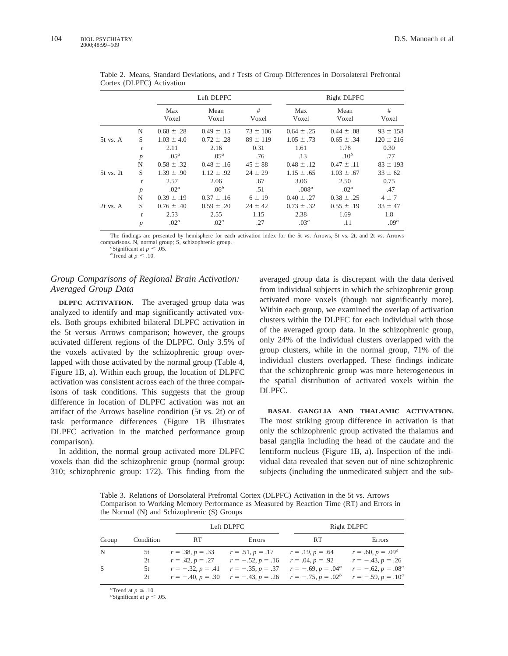|               |                  |                  | Left DLPFC       |              | Right DLPFC       |                  |                  |  |  |
|---------------|------------------|------------------|------------------|--------------|-------------------|------------------|------------------|--|--|
|               |                  | Max<br>Voxel     | Mean<br>Voxel    | #<br>Voxel   | Max<br>Voxel      | Mean<br>Voxel    | #<br>Voxel       |  |  |
|               | N                | $0.68 \pm .28$   | $0.49 \pm .15$   | $73 \pm 106$ | $0.64 \pm .25$    | $0.44 \pm .08$   | $93 \pm 158$     |  |  |
| 5t vs. A      | S                | $1.03 \pm 4.0$   | $0.72 \pm .28$   | $89 \pm 119$ | $1.05 \pm .73$    | $0.65 \pm .34$   | $120 \pm 216$    |  |  |
|               | $\dot{t}$        | 2.11             | 2.16             | 0.31         | 1.61              | 1.78             | 0.30             |  |  |
|               | $\boldsymbol{p}$ | .05 <sup>a</sup> | .05 <sup>a</sup> | .76          | .13               | .10 <sup>b</sup> | .77              |  |  |
|               | N                | $0.58 \pm .32$   | $0.48 \pm .16$   | $45 \pm 88$  | $0.48 \pm .12$    | $0.47 \pm .11$   | $83 \pm 193$     |  |  |
| $5t$ vs. $2t$ | S                | $1.39 \pm .90$   | $1.12 \pm .92$   | $24 \pm 29$  | $1.15 \pm .65$    | $1.03 \pm .67$   | $33 \pm 62$      |  |  |
|               | $\boldsymbol{t}$ | 2.57             | 2.06             | .67          | 3.06              | 2.50             | 0.75             |  |  |
|               | $\boldsymbol{p}$ | .02 <sup>a</sup> | .06 <sup>b</sup> | .51          | .008 <sup>a</sup> | .02 <sup>a</sup> | .47              |  |  |
|               | N                | $0.39 \pm .19$   | $0.37 \pm .16$   | $6 \pm 19$   | $0.40 \pm .27$    | $0.38 \pm .25$   | $4 \pm 7$        |  |  |
| $2t$ vs. $A$  | S                | $0.76 \pm .40$   | $0.59 \pm .20$   | $24 \pm 42$  | $0.73 \pm .32$    | $0.55 \pm .19$   | $33 \pm 47$      |  |  |
|               | t                | 2.53             | 2.55             | 1.15         | 2.38              | 1.69             | 1.8              |  |  |
|               | $\boldsymbol{p}$ | .02 <sup>a</sup> | .02 <sup>a</sup> | .27          | .03 <sup>a</sup>  | .11              | .09 <sup>b</sup> |  |  |

| Table 2. Means, Standard Deviations, and t Tests of Group Differences in Dorsolateral Prefrontal |  |  |  |  |  |
|--------------------------------------------------------------------------------------------------|--|--|--|--|--|
| Cortex (DLPFC) Activation                                                                        |  |  |  |  |  |

The findings are presented by hemisphere for each activation index for the 5t vs. Arrows, 5t vs. 2t, and 2t vs. Arrows comparisons. N, normal group; S, schizophrenic group. *<sup>a</sup>*

<sup>*a*</sup>Significant at  $p \le .05$ . <sup>b</sup>Trend at  $p \le .10$ .

*Group Comparisons of Regional Brain Activation: Averaged Group Data*

**DLPFC ACTIVATION.** The averaged group data was analyzed to identify and map significantly activated voxels. Both groups exhibited bilateral DLPFC activation in the 5t versus Arrows comparison; however, the groups activated different regions of the DLPFC. Only 3.5% of the voxels activated by the schizophrenic group overlapped with those activated by the normal group (Table 4, Figure 1B, a). Within each group, the location of DLPFC activation was consistent across each of the three comparisons of task conditions. This suggests that the group difference in location of DLPFC activation was not an artifact of the Arrows baseline condition (5t vs. 2t) or of task performance differences (Figure 1B illustrates DLPFC activation in the matched performance group comparison).

In addition, the normal group activated more DLPFC voxels than did the schizophrenic group (normal group: 310; schizophrenic group: 172). This finding from the averaged group data is discrepant with the data derived from individual subjects in which the schizophrenic group activated more voxels (though not significantly more). Within each group, we examined the overlap of activation clusters within the DLPFC for each individual with those of the averaged group data. In the schizophrenic group, only 24% of the individual clusters overlapped with the group clusters, while in the normal group, 71% of the individual clusters overlapped. These findings indicate that the schizophrenic group was more heterogeneous in the spatial distribution of activated voxels within the DLPFC.

**BASAL GANGLIA AND THALAMIC ACTIVATION.** The most striking group difference in activation is that only the schizophrenic group activated the thalamus and basal ganglia including the head of the caudate and the lentiform nucleus (Figure 1B, a). Inspection of the individual data revealed that seven out of nine schizophrenic subjects (including the unmedicated subject and the sub-

Table 3. Relations of Dorsolateral Prefrontal Cortex (DLPFC) Activation in the 5t vs. Arrows Comparison to Working Memory Performance as Measured by Reaction Time (RT) and Errors in the Normal (N) and Schizophrenic (S) Groups

|       |           |           | Left DLPFC | Right DLPFC                                                                                                                                                                    |               |  |  |
|-------|-----------|-----------|------------|--------------------------------------------------------------------------------------------------------------------------------------------------------------------------------|---------------|--|--|
| Group | Condition | <b>RT</b> | Errors     | RT.                                                                                                                                                                            | <b>Errors</b> |  |  |
| N     | 5t<br>2t  |           |            | $r = .38, p = .33$ $r = .51, p = .17$ $r = .19, p = .64$ $r = .60, p = .09a$<br>$r = .42, p = .27$ $r = -.52, p = .16$ $r = .04, p = .92$ $r = -.43, p = .26$                  |               |  |  |
| S     | 5t<br>2t  |           |            | $r = -0.32, p = 0.41$ $r = -0.35, p = 0.37$ $r = -0.69, p = 0.04$ $r = -0.62, p = 0.08$<br>$r = -.40, p = .30$ $r = -.43, p = .26$ $r = -.75, p = .02^b$ $r = -.59, p = .10^a$ |               |  |  |

*a*Trend at  $p \leq .10$ .<br>*b*Significant at  $n \leq$ 

<sup>b</sup>Significant at  $p \le .05$ .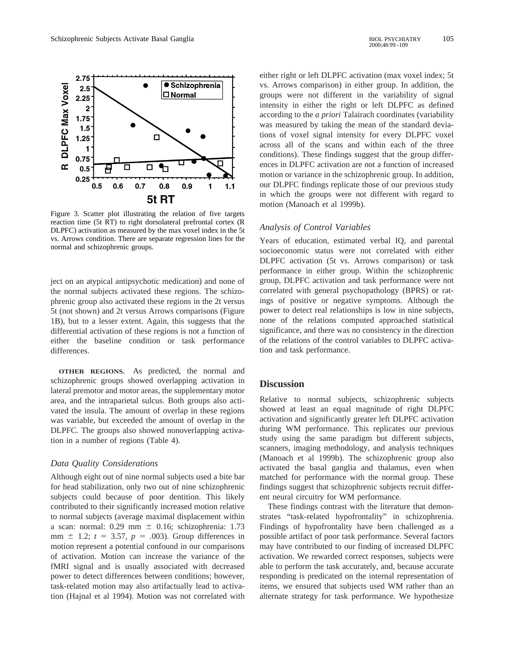

Figure 3. Scatter plot illustrating the relation of five targets reaction time (5t RT) to right dorsolateral prefrontal cortex (R DLPFC) activation as measured by the max voxel index in the 5t vs. Arrows condition. There are separate regression lines for the normal and schizophrenic groups.

ject on an atypical antipsychotic medication) and none of the normal subjects activated these regions. The schizophrenic group also activated these regions in the 2t versus 5t (not shown) and 2t versus Arrows comparisons (Figure 1B), but to a lesser extent. Again, this suggests that the differential activation of these regions is not a function of either the baseline condition or task performance differences.

**OTHER REGIONS.** As predicted, the normal and schizophrenic groups showed overlapping activation in lateral premotor and motor areas, the supplementary motor area, and the intraparietal sulcus. Both groups also activated the insula. The amount of overlap in these regions was variable, but exceeded the amount of overlap in the DLPFC. The groups also showed nonoverlapping activation in a number of regions (Table 4).

## *Data Quality Considerations*

Although eight out of nine normal subjects used a bite bar for head stabilization, only two out of nine schizophrenic subjects could because of poor dentition. This likely contributed to their significantly increased motion relative to normal subjects (average maximal displacement within a scan: normal:  $0.29$  mm  $\pm$  0.16; schizophrenia: 1.73 mm  $\pm$  1.2;  $t = 3.57$ ,  $p = .003$ ). Group differences in motion represent a potential confound in our comparisons of activation. Motion can increase the variance of the fMRI signal and is usually associated with decreased power to detect differences between conditions; however, task-related motion may also artifactually lead to activation (Hajnal et al 1994). Motion was not correlated with either right or left DLPFC activation (max voxel index; 5t vs. Arrows comparison) in either group. In addition, the groups were not different in the variability of signal intensity in either the right or left DLPFC as defined according to the *a priori* Talairach coordinates (variability was measured by taking the mean of the standard deviations of voxel signal intensity for every DLPFC voxel across all of the scans and within each of the three conditions). These findings suggest that the group differences in DLPFC activation are not a function of increased motion or variance in the schizophrenic group. In addition, our DLPFC findings replicate those of our previous study in which the groups were not different with regard to motion (Manoach et al 1999b).

#### *Analysis of Control Variables*

Years of education, estimated verbal IQ, and parental socioeconomic status were not correlated with either DLPFC activation (5t vs. Arrows comparison) or task performance in either group. Within the schizophrenic group, DLPFC activation and task performance were not correlated with general psychopathology (BPRS) or ratings of positive or negative symptoms. Although the power to detect real relationships is low in nine subjects, none of the relations computed approached statistical significance, and there was no consistency in the direction of the relations of the control variables to DLPFC activation and task performance.

## **Discussion**

Relative to normal subjects, schizophrenic subjects showed at least an equal magnitude of right DLPFC activation and significantly greater left DLPFC activation during WM performance. This replicates our previous study using the same paradigm but different subjects, scanners, imaging methodology, and analysis techniques (Manoach et al 1999b). The schizophrenic group also activated the basal ganglia and thalamus, even when matched for performance with the normal group. These findings suggest that schizophrenic subjects recruit different neural circuitry for WM performance.

These findings contrast with the literature that demonstrates "task-related hypofrontality" in schizophrenia. Findings of hypofrontality have been challenged as a possible artifact of poor task performance. Several factors may have contributed to our finding of increased DLPFC activation. We rewarded correct responses, subjects were able to perform the task accurately, and, because accurate responding is predicated on the internal representation of items, we ensured that subjects used WM rather than an alternate strategy for task performance. We hypothesize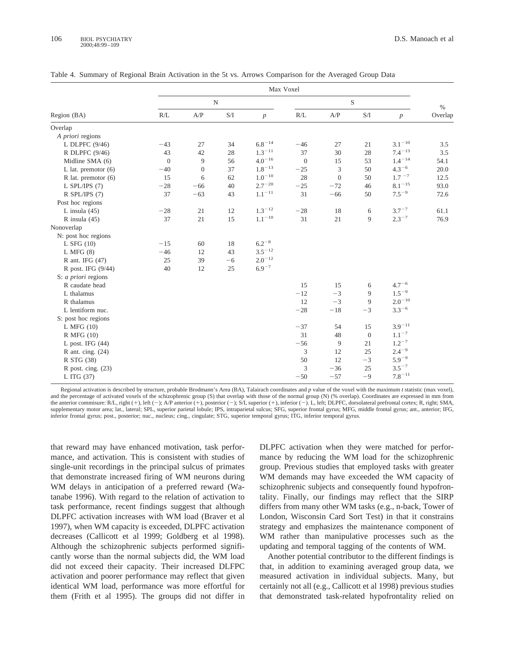|                       | Max Voxel      |              |      |                      |          |          |                  |             |         |
|-----------------------|----------------|--------------|------|----------------------|----------|----------|------------------|-------------|---------|
| Region (BA)           | $\mathbf N$    |              |      | S                    |          |          |                  | $\%$        |         |
|                       | R/L            | A/P          | S/I  | p                    | R/L      | A/P      | S/I              | p           | Overlap |
| Overlap               |                |              |      |                      |          |          |                  |             |         |
| A priori regions      |                |              |      |                      |          |          |                  |             |         |
| L DLPFC (9/46)        | $-43$          | 27           | 34   | $6.8^{-14}$          | $-46$    | 27       | 21               | $3.1^{-10}$ | 3.5     |
| R DLPFC (9/46)        | 43             | 42           | 28   | $1.3^{-11}$          | 37       | 30       | 28               | $7.4^{-13}$ | 3.5     |
| Midline SMA (6)       | $\overline{0}$ | 9            | 56   | $4.0^{-16}$          | $\theta$ | 15       | 53               | $1.4^{-14}$ | 54.1    |
| L lat. premotor $(6)$ | $-40$          | $\mathbf{0}$ | 37   | $1.8^{-13}$          | $-25$    | 3        | 50               | $4.3^{-6}$  | 20.0    |
| R lat. premotor $(6)$ | 15             | 6            | 62   | $1.0^{-10}$          | 28       | $\theta$ | 50               | $1.7 - 7$   | 12.5    |
| L SPL/IPS $(7)$       | $-28$          | $-66$        | 40   | $2.7^{-20}$          | $-25$    | $-72$    | 46               | $8.1^{-15}$ | 93.0    |
| R SPL/IPS (7)         | 37             | $-63$        | 43   | $1.1^{-11}$          | 31       | $-66$    | 50               | $7.5^{-9}$  | 72.6    |
| Post hoc regions      |                |              |      |                      |          |          |                  |             |         |
| L insula $(45)$       | $-28\,$        | $21\,$       | 12   | $1.3^{-12}$          | $-28\,$  | 18       | 6                | $3.7^{-7}$  | 61.1    |
| R insula $(45)$       | 37             | 21           | 15   | $1.1^{\mathrm{-10}}$ | 31       | 21       | 9                | $2.3^{-7}$  | 76.9    |
| Nonoverlap            |                |              |      |                      |          |          |                  |             |         |
| N: post hoc regions   |                |              |      |                      |          |          |                  |             |         |
| L SFG $(10)$          | $-15$          | 60           | 18   | $6.2^{-8}$           |          |          |                  |             |         |
| L MFG $(8)$           | $-46$          | 12           | 43   | $3.5^{-12}$          |          |          |                  |             |         |
| R ant. IFG $(47)$     | 25             | 39           | $-6$ | $2.0^{-12}$          |          |          |                  |             |         |
| R post. IFG (9/44)    | 40             | 12           | 25   | $6.9^{-7}$           |          |          |                  |             |         |
| S: a priori regions   |                |              |      |                      |          |          |                  |             |         |
| R caudate head        |                |              |      |                      | 15       | 15       | 6                | $4.7^{-6}$  |         |
| L thalamus            |                |              |      |                      | $-12$    | $-3$     | 9                | $1.5^{-9}$  |         |
| R thalamus            |                |              |      |                      | 12       | $-3$     | 9                | $2.0^{-10}$ |         |
| L lentiform nuc.      |                |              |      |                      | $-28$    | $-18$    | $-3$             | $3.3^{-6}$  |         |
| S: post hoc regions   |                |              |      |                      |          |          |                  |             |         |
| L MFG $(10)$          |                |              |      |                      | $-37$    | 54       | 15               | $3.9^{-11}$ |         |
| R MFG (10)            |                |              |      |                      | 31       | 48       | $\boldsymbol{0}$ | $1.1^{-7}$  |         |
| L post. IFG $(44)$    |                |              |      |                      | $-56$    | 9        | 21               | $1.2^{-7}$  |         |
| R ant. cing. $(24)$   |                |              |      |                      | 3        | 12       | 25               | $2.4^{-9}$  |         |
| R STG (38)            |                |              |      |                      | 50       | 12       | $-3$             | $5.9^{-9}$  |         |
| R post. cing. $(23)$  |                |              |      |                      | 3        | $-36$    | 25               | $3.5^{-7}$  |         |
| L ITG (37)            |                |              |      |                      | $-50$    | $-57$    | $-9$             | $7.8^{-11}$ |         |

Table 4. Summary of Regional Brain Activation in the 5t vs. Arrows Comparison for the Averaged Group Data

Regional activation is described by structure, probable Brodmann's Area (BA), Talairach coordinates and *p* value of the voxel with the maximum *t* statistic (max voxel), and the percentage of activated voxels of the schizophrenic group (S) that overlap with those of the normal group (N) (% overlap). Coordinates are expressed in mm from the anterior commisure: R/L, right (+), left (-); A/P anterior (+), posterior (-); S/I, superior (+), inferior (-). L, left; DLPFC, dorsolateral prefrontal cortex; R, right; SMA, supplementary motor area; lat., lateral; SPL, superior parietal lobule; IPS, intraparietal sulcus; SFG, superior frontal gyrus; MFG, middle frontal gyrus; ant., anterior; IFG, inferior frontal gyrus; post., posterior; nuc., nucleus; cing., cingulate; STG, superior temporal gyrus; ITG, inferior temporal gyrus.

that reward may have enhanced motivation, task performance, and activation. This is consistent with studies of single-unit recordings in the principal sulcus of primates that demonstrate increased firing of WM neurons during WM delays in anticipation of a preferred reward (Watanabe 1996). With regard to the relation of activation to task performance, recent findings suggest that although DLPFC activation increases with WM load (Braver et al 1997), when WM capacity is exceeded, DLPFC activation decreases (Callicott et al 1999; Goldberg et al 1998). Although the schizophrenic subjects performed significantly worse than the normal subjects did, the WM load did not exceed their capacity. Their increased DLFPC activation and poorer performance may reflect that given identical WM load, performance was more effortful for them (Frith et al 1995). The groups did not differ in

DLPFC activation when they were matched for performance by reducing the WM load for the schizophrenic group. Previous studies that employed tasks with greater WM demands may have exceeded the WM capacity of schizophrenic subjects and consequently found hypofrontality. Finally, our findings may reflect that the SIRP differs from many other WM tasks (e.g., n-back, Tower of London, Wisconsin Card Sort Test) in that it constrains strategy and emphasizes the maintenance component of WM rather than manipulative processes such as the updating and temporal tagging of the contents of WM.

Another potential contributor to the different findings is that, in addition to examining averaged group data, we measured activation in individual subjects. Many, but certainly not all (e.g., Callicott et al 1998) previous studies that demonstrated task-related hypofrontality relied on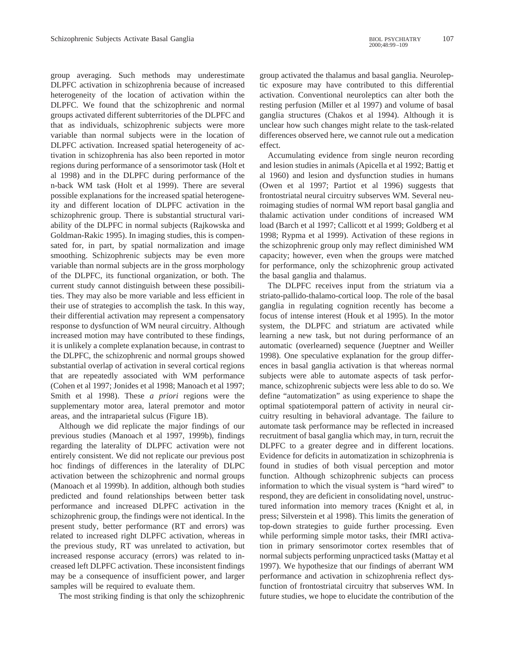group averaging. Such methods may underestimate DLPFC activation in schizophrenia because of increased heterogeneity of the location of activation within the DLPFC. We found that the schizophrenic and normal groups activated different subterritories of the DLPFC and that as individuals, schizophrenic subjects were more variable than normal subjects were in the location of DLPFC activation. Increased spatial heterogeneity of activation in schizophrenia has also been reported in motor regions during performance of a sensorimotor task (Holt et al 1998) and in the DLPFC during performance of the n-back WM task (Holt et al 1999). There are several possible explanations for the increased spatial heterogeneity and different location of DLPFC activation in the schizophrenic group. There is substantial structural variability of the DLPFC in normal subjects (Rajkowska and Goldman-Rakic 1995). In imaging studies, this is compensated for, in part, by spatial normalization and image smoothing. Schizophrenic subjects may be even more variable than normal subjects are in the gross morphology of the DLPFC, its functional organization, or both. The current study cannot distinguish between these possibilities. They may also be more variable and less efficient in their use of strategies to accomplish the task. In this way, their differential activation may represent a compensatory response to dysfunction of WM neural circuitry. Although increased motion may have contributed to these findings, it is unlikely a complete explanation because, in contrast to the DLPFC, the schizophrenic and normal groups showed substantial overlap of activation in several cortical regions that are repeatedly associated with WM performance (Cohen et al 1997; Jonides et al 1998; Manoach et al 1997; Smith et al 1998). These *a priori* regions were the supplementary motor area, lateral premotor and motor areas, and the intraparietal sulcus (Figure 1B).

Although we did replicate the major findings of our previous studies (Manoach et al 1997, 1999b), findings regarding the laterality of DLPFC activation were not entirely consistent. We did not replicate our previous post hoc findings of differences in the laterality of DLPC activation between the schizophrenic and normal groups (Manoach et al 1999b). In addition, although both studies predicted and found relationships between better task performance and increased DLPFC activation in the schizophrenic group, the findings were not identical. In the present study, better performance (RT and errors) was related to increased right DLPFC activation, whereas in the previous study, RT was unrelated to activation, but increased response accuracy (errors) was related to increased left DLPFC activation. These inconsistent findings may be a consequence of insufficient power, and larger samples will be required to evaluate them.

The most striking finding is that only the schizophrenic

group activated the thalamus and basal ganglia. Neuroleptic exposure may have contributed to this differential activation. Conventional neuroleptics can alter both the resting perfusion (Miller et al 1997) and volume of basal ganglia structures (Chakos et al 1994). Although it is unclear how such changes might relate to the task-related differences observed here, we cannot rule out a medication effect.

Accumulating evidence from single neuron recording and lesion studies in animals (Apicella et al 1992; Battig et al 1960) and lesion and dysfunction studies in humans (Owen et al 1997; Partiot et al 1996) suggests that frontostriatal neural circuitry subserves WM. Several neuroimaging studies of normal WM report basal ganglia and thalamic activation under conditions of increased WM load (Barch et al 1997; Callicott et al 1999; Goldberg et al 1998; Rypma et al 1999). Activation of these regions in the schizophrenic group only may reflect diminished WM capacity; however, even when the groups were matched for performance, only the schizophrenic group activated the basal ganglia and thalamus.

The DLPFC receives input from the striatum via a striato-pallido-thalamo-cortical loop. The role of the basal ganglia in regulating cognition recently has become a focus of intense interest (Houk et al 1995). In the motor system, the DLPFC and striatum are activated while learning a new task, but not during performance of an automatic (overlearned) sequence (Jueptner and Weiller 1998). One speculative explanation for the group differences in basal ganglia activation is that whereas normal subjects were able to automate aspects of task performance, schizophrenic subjects were less able to do so. We define "automatization" as using experience to shape the optimal spatiotemporal pattern of activity in neural circuitry resulting in behavioral advantage. The failure to automate task performance may be reflected in increased recruitment of basal ganglia which may, in turn, recruit the DLPFC to a greater degree and in different locations. Evidence for deficits in automatization in schizophrenia is found in studies of both visual perception and motor function. Although schizophrenic subjects can process information to which the visual system is "hard wired" to respond, they are deficient in consolidating novel, unstructured information into memory traces (Knight et al, in press; Silverstein et al 1998). This limits the generation of top-down strategies to guide further processing. Even while performing simple motor tasks, their fMRI activation in primary sensorimotor cortex resembles that of normal subjects performing unpracticed tasks (Mattay et al 1997). We hypothesize that our findings of aberrant WM performance and activation in schizophrenia reflect dysfunction of frontostriatal circuitry that subserves WM. In future studies, we hope to elucidate the contribution of the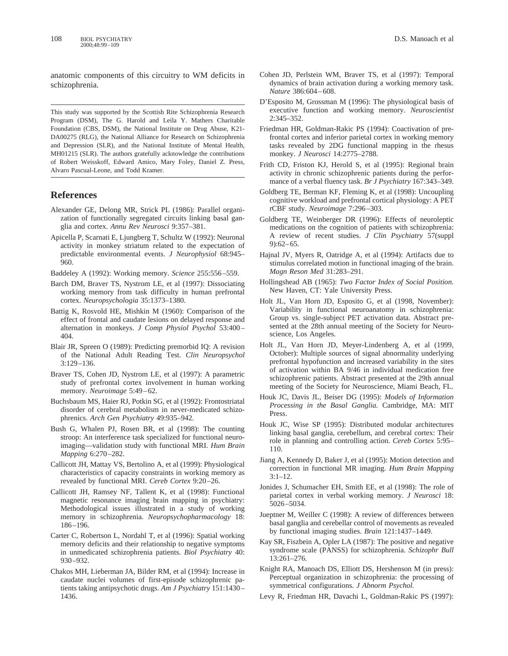This study was supported by the Scottish Rite Schizophrenia Research Program (DSM), The G. Harold and Leila Y. Mathers Charitable Foundation (CBS, DSM), the National Institute on Drug Abuse, K21-

DA00275 (RLG), the National Alliance for Research on Schizophrenia and Depression (SLR), and the National Institute of Mental Health, MH01215 (SLR). The authors gratefully acknowledge the contributions of Robert Weisskoff, Edward Amico, Mary Foley, Daniel Z. Press, Alvaro Pascual-Leone, and Todd Kramer.

# **References**

schizophrenia.

- Alexander GE, Delong MR, Strick PL (1986): Parallel organization of functionally segregated circuits linking basal ganglia and cortex. *Annu Rev Neurosci* 9:357–381.
- Apicella P, Scarnati E, Ljungberg T, Schultz W (1992): Neuronal activity in monkey striatum related to the expectation of predictable environmental events. *J Neurophysiol* 68:945– 960.
- Baddeley A (1992): Working memory. *Science* 255:556–559.
- Barch DM, Braver TS, Nystrom LE, et al (1997): Dissociating working memory from task difficulty in human prefrontal cortex. *Neuropsychologia* 35:1373–1380.
- Battig K, Rosvold HE, Mishkin M (1960): Comparison of the effect of frontal and caudate lesions on delayed response and alternation in monkeys. *J Comp Physiol Psychol* 53:400– 404.
- Blair JR, Spreen O (1989): Predicting premorbid IQ: A revision of the National Adult Reading Test. *Clin Neuropsychol* 3:129–136.
- Braver TS, Cohen JD, Nystrom LE, et al (1997): A parametric study of prefrontal cortex involvement in human working memory. *Neuroimage* 5:49–62.
- Buchsbaum MS, Haier RJ, Potkin SG, et al (1992): Frontostriatal disorder of cerebral metabolism in never-medicated schizophrenics. *Arch Gen Psychiatry* 49:935–942.
- Bush G, Whalen PJ, Rosen BR, et al (1998): The counting stroop: An interference task specialized for functional neuroimaging—validation study with functional MRI. *Hum Brain Mapping* 6:270–282.
- Callicott JH, Mattay VS, Bertolino A, et al (1999): Physiological characteristics of capacity constraints in working memory as revealed by functional MRI. *Cereb Cortex* 9:20–26.
- Callicott JH, Ramsey NF, Tallent K, et al (1998): Functional magnetic resonance imaging brain mapping in psychiatry: Methodological issues illustrated in a study of working memory in schizophrenia. *Neuropsychopharmacology* 18: 186–196.
- Carter C, Robertson L, Nordahl T, et al (1996): Spatial working memory deficits and their relationship to negative symptoms in unmedicated schizophrenia patients. *Biol Psychiatry* 40: 930–932.
- Chakos MH, Lieberman JA, Bilder RM, et al (1994): Increase in caudate nuclei volumes of first-episode schizophrenic patients taking antipsychotic drugs. *Am J Psychiatry* 151:1430– 1436.
- Cohen JD, Perlstein WM, Braver TS, et al (1997): Temporal dynamics of brain activation during a working memory task. *Nature* 386:604–608.
- D'Esposito M, Grossman M (1996): The physiological basis of executive function and working memory. *Neuroscientist* 2:345–352.
- Friedman HR, Goldman-Rakic PS (1994): Coactivation of prefrontal cortex and inferior parietal cortex in working memory tasks revealed by 2DG functional mapping in the rhesus monkey. *J Neurosci* 14:2775–2788.
- Frith CD, Friston KJ, Herold S, et al (1995): Regional brain activity in chronic schizophrenic patients during the performance of a verbal fluency task. *Br J Psychiatry* 167:343–349.
- Goldberg TE, Berman KF, Fleming K, et al (1998): Uncoupling cognitive workload and prefrontal cortical physiology: A PET rCBF study. *Neuroimage* 7:296–303.
- Goldberg TE, Weinberger DR (1996): Effects of neuroleptic medications on the cognition of patients with schizophrenia: A review of recent studies. *J Clin Psychiatry* 57(suppl 9):62–65.
- Hajnal JV, Myers R, Oatridge A, et al (1994): Artifacts due to stimulus correlated motion in functional imaging of the brain. *Magn Reson Med* 31:283–291.
- Hollingshead AB (1965): *Two Factor Index of Social Position.* New Haven, CT: Yale University Press.
- Holt JL, Van Horn JD, Esposito G, et al (1998, November): Variability in functional neuroanatomy in schizophrenia: Group vs. single-subject PET activation data. Abstract presented at the 28th annual meeting of the Society for Neuroscience, Los Angeles.
- Holt JL, Van Horn JD, Meyer-Lindenberg A, et al (1999, October): Multiple sources of signal abnormality underlying prefrontal hypofunction and increased variability in the sites of activation within BA 9/46 in individual medication free schizophrenic patients. Abstract presented at the 29th annual meeting of the Society for Neuroscience, Miami Beach, FL.
- Houk JC, Davis JL, Beiser DG (1995): *Models of Information Processing in the Basal Ganglia.* Cambridge, MA: MIT Press.
- Houk JC, Wise SP (1995): Distributed modular architectures linking basal ganglia, cerebellum, and cerebral cortex: Their role in planning and controlling action. *Cereb Cortex* 5:95– 110.
- Jiang A, Kennedy D, Baker J, et al (1995): Motion detection and correction in functional MR imaging. *Hum Brain Mapping* 3:1–12.
- Jonides J, Schumacher EH, Smith EE, et al (1998): The role of parietal cortex in verbal working memory. *J Neurosci* 18: 5026–5034.
- Jueptner M, Weiller C (1998): A review of differences between basal ganglia and cerebellar control of movements as revealed by functional imaging studies. *Brain* 121:1437–1449.
- Kay SR, Fiszbein A, Opler LA (1987): The positive and negative syndrome scale (PANSS) for schizophrenia. *Schizophr Bull* 13:261–276.
- Knight RA, Manoach DS, Elliott DS, Hershenson M (in press): Perceptual organization in schizophrenia: the processing of symmetrical configurations. *J Abnorm Psychol.*
- Levy R, Friedman HR, Davachi L, Goldman-Rakic PS (1997):